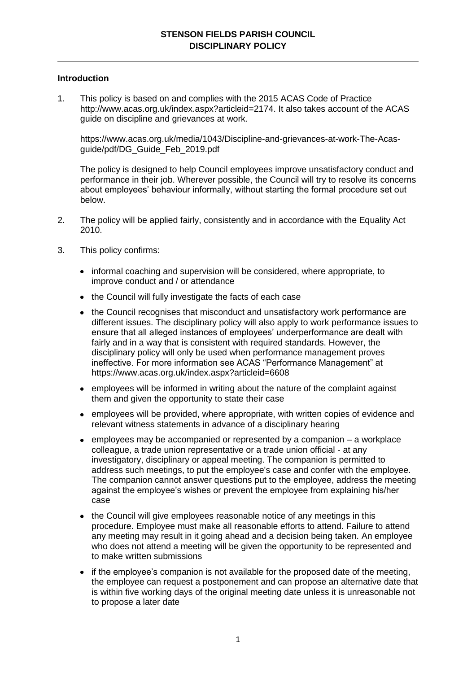## **Introduction**

1. This policy is based on and complies with the 2015 ACAS Code of Practice http://www.acas.org.uk/index.aspx?articleid=2174. It also takes account of the ACAS guide on discipline and grievances at work.

https://www.acas.org.uk/media/1043/Discipline-and-grievances-at-work-The-Acasguide/pdf/DG\_Guide\_Feb\_2019.pdf

The policy is designed to help Council employees improve unsatisfactory conduct and performance in their job. Wherever possible, the Council will try to resolve its concerns about employees' behaviour informally, without starting the formal procedure set out below.

- 2. The policy will be applied fairly, consistently and in accordance with the Equality Act 2010.
- 3. This policy confirms:
	- informal coaching and supervision will be considered, where appropriate, to improve conduct and / or attendance
	- the Council will fully investigate the facts of each case
	- the Council recognises that misconduct and unsatisfactory work performance are different issues. The disciplinary policy will also apply to work performance issues to ensure that all alleged instances of employees' underperformance are dealt with fairly and in a way that is consistent with required standards. However, the disciplinary policy will only be used when performance management proves ineffective. For more information see ACAS "Performance Management" at https://www.acas.org.uk/index.aspx?articleid=6608
	- employees will be informed in writing about the nature of the complaint against them and given the opportunity to state their case
	- employees will be provided, where appropriate, with written copies of evidence and relevant witness statements in advance of a disciplinary hearing
	- $\bullet$  employees may be accompanied or represented by a companion  $-$  a workplace colleague, a trade union representative or a trade union official - at any investigatory, disciplinary or appeal meeting. The companion is permitted to address such meetings, to put the employee's case and confer with the employee. The companion cannot answer questions put to the employee, address the meeting against the employee's wishes or prevent the employee from explaining his/her case
	- the Council will give employees reasonable notice of any meetings in this procedure. Employee must make all reasonable efforts to attend. Failure to attend any meeting may result in it going ahead and a decision being taken. An employee who does not attend a meeting will be given the opportunity to be represented and to make written submissions
	- if the employee's companion is not available for the proposed date of the meeting, the employee can request a postponement and can propose an alternative date that is within five working days of the original meeting date unless it is unreasonable not to propose a later date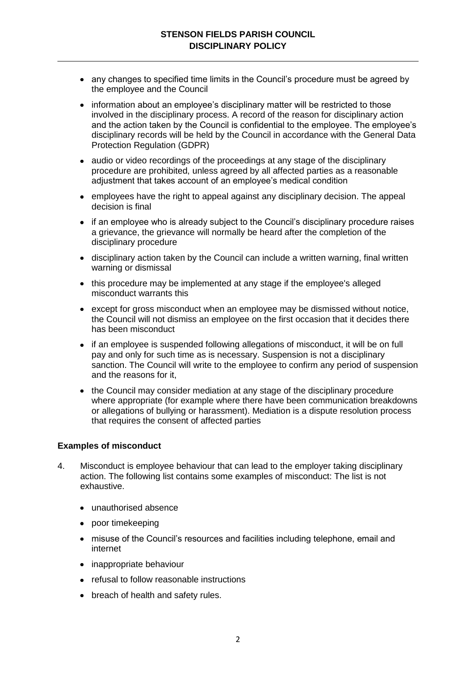- any changes to specified time limits in the Council's procedure must be agreed by the employee and the Council
- information about an employee's disciplinary matter will be restricted to those involved in the disciplinary process. A record of the reason for disciplinary action and the action taken by the Council is confidential to the employee. The employee's disciplinary records will be held by the Council in accordance with the General Data Protection Regulation (GDPR)
- audio or video recordings of the proceedings at any stage of the disciplinary procedure are prohibited, unless agreed by all affected parties as a reasonable adjustment that takes account of an employee's medical condition
- employees have the right to appeal against any disciplinary decision. The appeal decision is final
- if an employee who is already subject to the Council's disciplinary procedure raises a grievance, the grievance will normally be heard after the completion of the disciplinary procedure
- disciplinary action taken by the Council can include a written warning, final written warning or dismissal
- this procedure may be implemented at any stage if the employee's alleged misconduct warrants this
- except for gross misconduct when an employee may be dismissed without notice, the Council will not dismiss an employee on the first occasion that it decides there has been misconduct
- if an employee is suspended following allegations of misconduct, it will be on full pay and only for such time as is necessary. Suspension is not a disciplinary sanction. The Council will write to the employee to confirm any period of suspension and the reasons for it,
- the Council may consider mediation at any stage of the disciplinary procedure where appropriate (for example where there have been communication breakdowns or allegations of bullying or harassment). Mediation is a dispute resolution process that requires the consent of affected parties

### **Examples of misconduct**

- 4. Misconduct is employee behaviour that can lead to the employer taking disciplinary action. The following list contains some examples of misconduct: The list is not exhaustive.
	- unauthorised absence
	- poor timekeeping
	- misuse of the Council's resources and facilities including telephone, email and internet
	- inappropriate behaviour
	- refusal to follow reasonable instructions
	- breach of health and safety rules.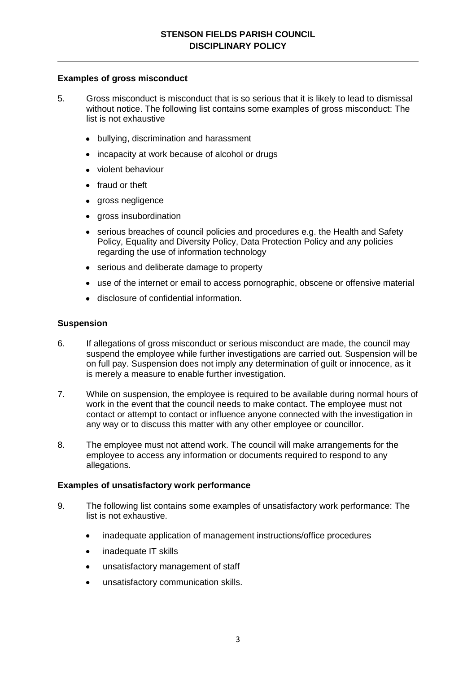#### **Examples of gross misconduct**

- 5. Gross misconduct is misconduct that is so serious that it is likely to lead to dismissal without notice. The following list contains some examples of gross misconduct: The list is not exhaustive
	- bullying, discrimination and harassment
	- incapacity at work because of alcohol or drugs
	- violent behaviour
	- fraud or theft
	- gross negligence
	- gross insubordination
	- serious breaches of council policies and procedures e.g. the Health and Safety Policy, Equality and Diversity Policy, Data Protection Policy and any policies regarding the use of information technology
	- serious and deliberate damage to property
	- use of the internet or email to access pornographic, obscene or offensive material
	- disclosure of confidential information.

#### **Suspension**

- 6. If allegations of gross misconduct or serious misconduct are made, the council may suspend the employee while further investigations are carried out. Suspension will be on full pay. Suspension does not imply any determination of guilt or innocence, as it is merely a measure to enable further investigation.
- 7. While on suspension, the employee is required to be available during normal hours of work in the event that the council needs to make contact. The employee must not contact or attempt to contact or influence anyone connected with the investigation in any way or to discuss this matter with any other employee or councillor.
- 8. The employee must not attend work. The council will make arrangements for the employee to access any information or documents required to respond to any allegations.

#### **Examples of unsatisfactory work performance**

- 9. The following list contains some examples of unsatisfactory work performance: The list is not exhaustive.
	- inadequate application of management instructions/office procedures
	- inadequate IT skills  $\bullet$
	- unsatisfactory management of staff
	- unsatisfactory communication skills.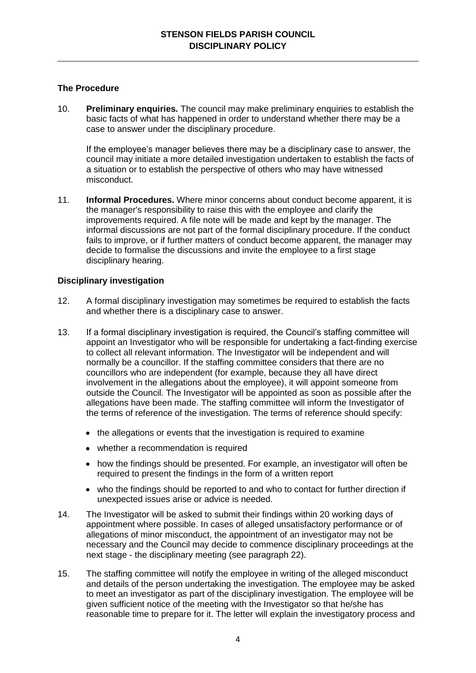## **The Procedure**

10. **Preliminary enquiries***.* The council may make preliminary enquiries to establish the basic facts of what has happened in order to understand whether there may be a case to answer under the disciplinary procedure.

If the employee's manager believes there may be a disciplinary case to answer, the council may initiate a more detailed investigation undertaken to establish the facts of a situation or to establish the perspective of others who may have witnessed misconduct.

11. **Informal Procedures.** Where minor concerns about conduct become apparent, it is the manager's responsibility to raise this with the employee and clarify the improvements required. A file note will be made and kept by the manager. The informal discussions are not part of the formal disciplinary procedure. If the conduct fails to improve, or if further matters of conduct become apparent, the manager may decide to formalise the discussions and invite the employee to a first stage disciplinary hearing.

# **Disciplinary investigation**

- 12. A formal disciplinary investigation may sometimes be required to establish the facts and whether there is a disciplinary case to answer.
- 13. If a formal disciplinary investigation is required, the Council's staffing committee will appoint an Investigator who will be responsible for undertaking a fact-finding exercise to collect all relevant information. The Investigator will be independent and will normally be a councillor. If the staffing committee considers that there are no councillors who are independent (for example, because they all have direct involvement in the allegations about the employee), it will appoint someone from outside the Council. The Investigator will be appointed as soon as possible after the allegations have been made. The staffing committee will inform the Investigator of the terms of reference of the investigation. The terms of reference should specify:
	- the allegations or events that the investigation is required to examine
	- whether a recommendation is required
	- how the findings should be presented. For example, an investigator will often be required to present the findings in the form of a written report
	- who the findings should be reported to and who to contact for further direction if unexpected issues arise or advice is needed.
- 14. The Investigator will be asked to submit their findings within 20 working days of appointment where possible. In cases of alleged unsatisfactory performance or of allegations of minor misconduct, the appointment of an investigator may not be necessary and the Council may decide to commence disciplinary proceedings at the next stage - the disciplinary meeting (see paragraph 22).
- 15. The staffing committee will notify the employee in writing of the alleged misconduct and details of the person undertaking the investigation. The employee may be asked to meet an investigator as part of the disciplinary investigation. The employee will be given sufficient notice of the meeting with the Investigator so that he/she has reasonable time to prepare for it. The letter will explain the investigatory process and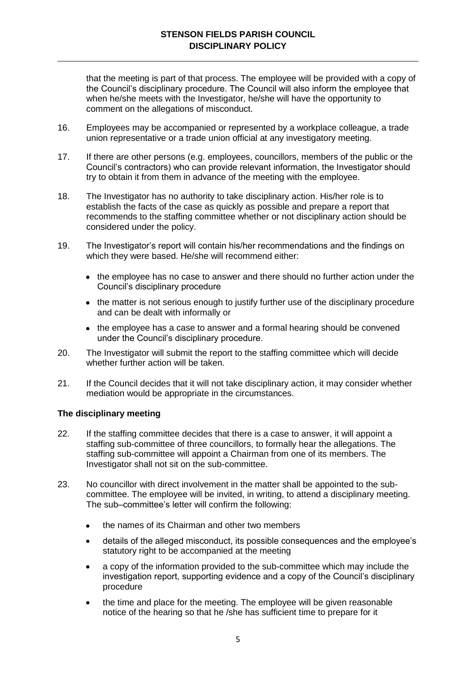that the meeting is part of that process. The employee will be provided with a copy of the Council's disciplinary procedure. The Council will also inform the employee that when he/she meets with the Investigator, he/she will have the opportunity to comment on the allegations of misconduct.

- 16. Employees may be accompanied or represented by a workplace colleague, a trade union representative or a trade union official at any investigatory meeting.
- 17. If there are other persons (e.g. employees, councillors, members of the public or the Council's contractors) who can provide relevant information, the Investigator should try to obtain it from them in advance of the meeting with the employee.
- 18. The Investigator has no authority to take disciplinary action. His/her role is to establish the facts of the case as quickly as possible and prepare a report that recommends to the staffing committee whether or not disciplinary action should be considered under the policy.
- 19. The Investigator's report will contain his/her recommendations and the findings on which they were based. He/she will recommend either:
	- the employee has no case to answer and there should no further action under the Council's disciplinary procedure
	- the matter is not serious enough to justify further use of the disciplinary procedure and can be dealt with informally or
	- the employee has a case to answer and a formal hearing should be convened under the Council's disciplinary procedure.
- 20. The Investigator will submit the report to the staffing committee which will decide whether further action will be taken.
- 21. If the Council decides that it will not take disciplinary action, it may consider whether mediation would be appropriate in the circumstances.

### **The disciplinary meeting**

- 22. If the staffing committee decides that there is a case to answer, it will appoint a staffing sub-committee of three councillors, to formally hear the allegations. The staffing sub-committee will appoint a Chairman from one of its members. The Investigator shall not sit on the sub-committee.
- 23. No councillor with direct involvement in the matter shall be appointed to the subcommittee. The employee will be invited, in writing, to attend a disciplinary meeting. The sub–committee's letter will confirm the following:
	- the names of its Chairman and other two members
	- details of the alleged misconduct, its possible consequences and the employee's statutory right to be accompanied at the meeting
	- a copy of the information provided to the sub-committee which may include the investigation report, supporting evidence and a copy of the Council's disciplinary procedure
	- the time and place for the meeting. The employee will be given reasonable notice of the hearing so that he /she has sufficient time to prepare for it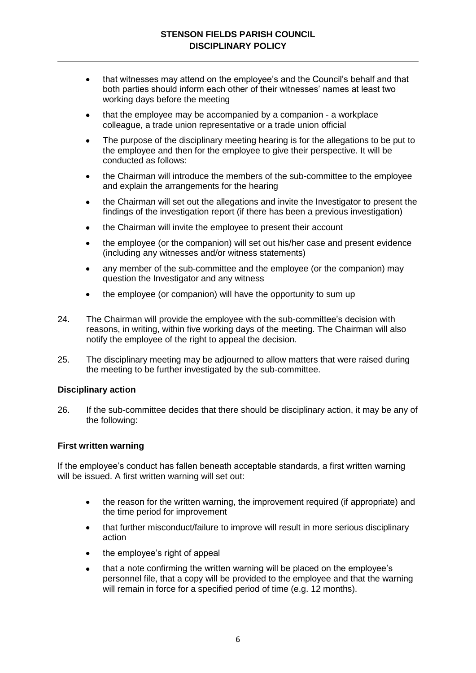- that witnesses may attend on the employee's and the Council's behalf and that  $\bullet$ both parties should inform each other of their witnesses' names at least two working days before the meeting
- that the employee may be accompanied by a companion a workplace colleague, a trade union representative or a trade union official
- The purpose of the disciplinary meeting hearing is for the allegations to be put to  $\bullet$ the employee and then for the employee to give their perspective. It will be conducted as follows:
- the Chairman will introduce the members of the sub-committee to the employee  $\bullet$ and explain the arrangements for the hearing
- the Chairman will set out the allegations and invite the Investigator to present the  $\bullet$ findings of the investigation report (if there has been a previous investigation)
- the Chairman will invite the employee to present their account
- the employee (or the companion) will set out his/her case and present evidence (including any witnesses and/or witness statements)
- any member of the sub-committee and the employee (or the companion) may  $\bullet$ question the Investigator and any witness
- the employee (or companion) will have the opportunity to sum up
- 24. The Chairman will provide the employee with the sub-committee's decision with reasons, in writing, within five working days of the meeting. The Chairman will also notify the employee of the right to appeal the decision.
- 25. The disciplinary meeting may be adjourned to allow matters that were raised during the meeting to be further investigated by the sub-committee.

### **Disciplinary action**

26. If the sub-committee decides that there should be disciplinary action, it may be any of the following:

#### **First written warning**

If the employee's conduct has fallen beneath acceptable standards, a first written warning will be issued. A first written warning will set out:

- the reason for the written warning, the improvement required (if appropriate) and  $\bullet$ the time period for improvement
- that further misconduct/failure to improve will result in more serious disciplinary action
- the employee's right of appeal
- that a note confirming the written warning will be placed on the employee's  $\bullet$ personnel file, that a copy will be provided to the employee and that the warning will remain in force for a specified period of time (e.g. 12 months).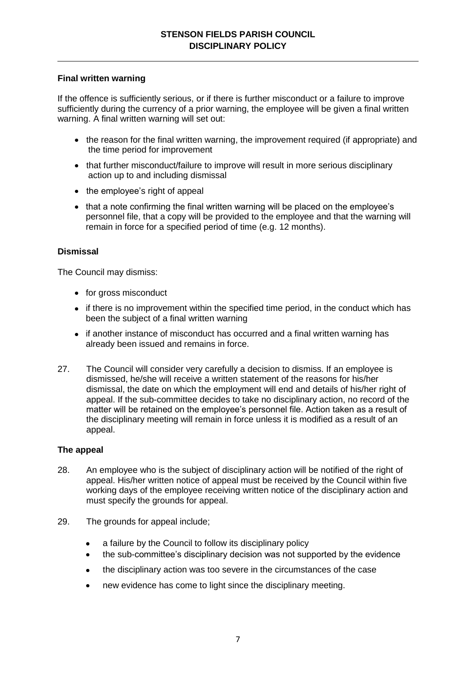## **Final written warning**

If the offence is sufficiently serious, or if there is further misconduct or a failure to improve sufficiently during the currency of a prior warning, the employee will be given a final written warning. A final written warning will set out:

- the reason for the final written warning, the improvement required (if appropriate) and the time period for improvement
- that further misconduct/failure to improve will result in more serious disciplinary action up to and including dismissal
- the employee's right of appeal
- that a note confirming the final written warning will be placed on the employee's personnel file, that a copy will be provided to the employee and that the warning will remain in force for a specified period of time (e.g. 12 months).

# **Dismissal**

The Council may dismiss:

- for gross misconduct
- if there is no improvement within the specified time period, in the conduct which has been the subject of a final written warning
- if another instance of misconduct has occurred and a final written warning has already been issued and remains in force.
- 27. The Council will consider very carefully a decision to dismiss. If an employee is dismissed, he/she will receive a written statement of the reasons for his/her dismissal, the date on which the employment will end and details of his/her right of appeal. If the sub-committee decides to take no disciplinary action, no record of the matter will be retained on the employee's personnel file. Action taken as a result of the disciplinary meeting will remain in force unless it is modified as a result of an appeal.

### **The appeal**

- 28. An employee who is the subject of disciplinary action will be notified of the right of appeal. His/her written notice of appeal must be received by the Council within five working days of the employee receiving written notice of the disciplinary action and must specify the grounds for appeal.
- 29. The grounds for appeal include;
	- a failure by the Council to follow its disciplinary policy  $\bullet$
	- the sub-committee's disciplinary decision was not supported by the evidence
	- the disciplinary action was too severe in the circumstances of the case
	- new evidence has come to light since the disciplinary meeting.